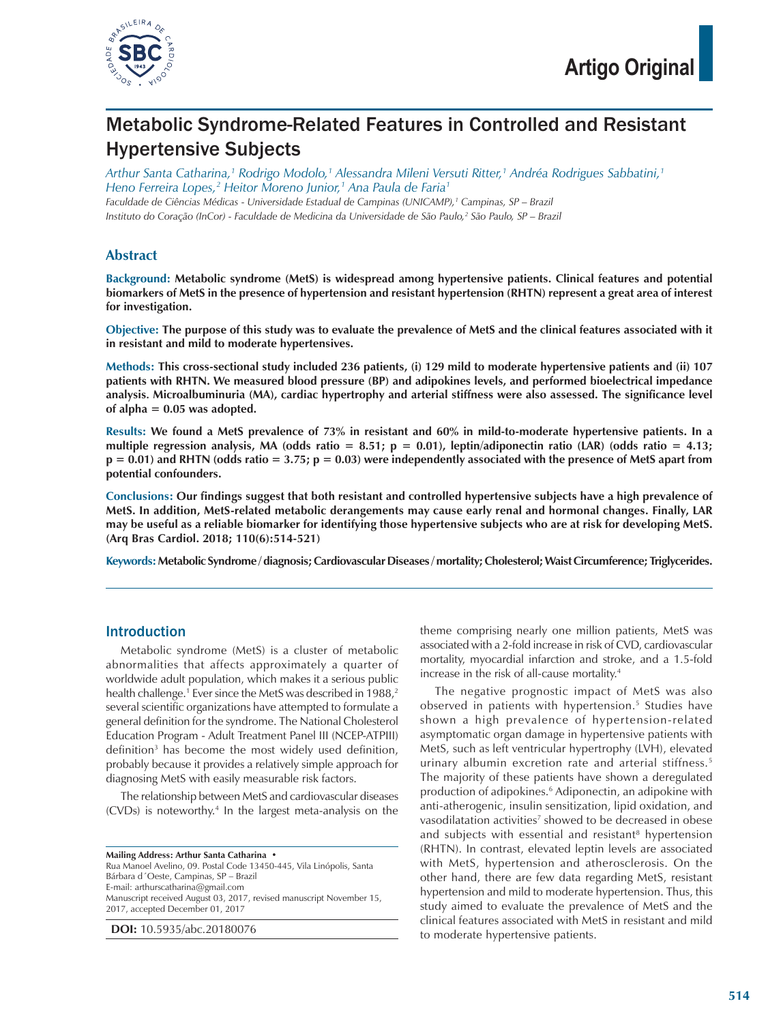

# Metabolic Syndrome-Related Features in Controlled and Resistant Hypertensive Subjects

*Arthur Santa Catharina,1 Rodrigo Modolo,1 Alessandra Mileni Versuti Ritter,1 Andréa Rodrigues Sabbatini,1 Heno Ferreira Lopes,2 Heitor Moreno Junior,1 Ana Paula de Faria1 Faculdade de Ciências Médicas - Universidade Estadual de Campinas (UNICAMP),1 Campinas, SP – Brazil Instituto do Coração (InCor) - Faculdade de Medicina da Universidade de São Paulo,2 São Paulo, SP – Brazil*

## **Abstract**

**Background: Metabolic syndrome (MetS) is widespread among hypertensive patients. Clinical features and potential biomarkers of MetS in the presence of hypertension and resistant hypertension (RHTN) represent a great area of interest for investigation.**

**Objective: The purpose of this study was to evaluate the prevalence of MetS and the clinical features associated with it in resistant and mild to moderate hypertensives.**

**Methods: This cross-sectional study included 236 patients, (i) 129 mild to moderate hypertensive patients and (ii) 107 patients with RHTN. We measured blood pressure (BP) and adipokines levels, and performed bioelectrical impedance analysis. Microalbuminuria (MA), cardiac hypertrophy and arterial stiffness were also assessed. The significance level of alpha = 0.05 was adopted.**

**Results: We found a MetS prevalence of 73% in resistant and 60% in mild-to-moderate hypertensive patients. In a multiple regression analysis, MA (odds ratio = 8.51; p = 0.01), leptin/adiponectin ratio (LAR) (odds ratio = 4.13; p = 0.01) and RHTN (odds ratio = 3.75; p = 0.03) were independently associated with the presence of MetS apart from potential confounders.**

**Conclusions: Our findings suggest that both resistant and controlled hypertensive subjects have a high prevalence of MetS. In addition, MetS-related metabolic derangements may cause early renal and hormonal changes. Finally, LAR may be useful as a reliable biomarker for identifying those hypertensive subjects who are at risk for developing MetS. (Arq Bras Cardiol. 2018; 110(6):514-521)**

**Keywords: Metabolic Syndrome / diagnosis; Cardiovascular Diseases / mortality; Cholesterol; Waist Circumference; Triglycerides.**

## Introduction

Metabolic syndrome (MetS) is a cluster of metabolic abnormalities that affects approximately a quarter of worldwide adult population, which makes it a serious public health challenge. $^{\scriptscriptstyle 1}$  Ever since the MetS was described in 1988, $^{\scriptscriptstyle 2}$ several scientific organizations have attempted to formulate a general definition for the syndrome. The National Cholesterol Education Program - Adult Treatment Panel III (NCEP-ATPIII) definition3 has become the most widely used definition, probably because it provides a relatively simple approach for diagnosing MetS with easily measurable risk factors.

The relationship between MetS and cardiovascular diseases (CVDs) is noteworthy.4 In the largest meta-analysis on the

**Mailing Address: Arthur Santa Catharina •** Rua Manoel Avelino, 09. Postal Code 13450-445, Vila Linópolis, Santa Bárbara d´Oeste, Campinas, SP – Brazil E-mail: arthurscatharina@gmail.com Manuscript received August 03, 2017, revised manuscript November 15, 2017, accepted December 01, 2017

**DOI:** 10.5935/abc.20180076

theme comprising nearly one million patients, MetS was associated with a 2-fold increase in risk of CVD, cardiovascular mortality, myocardial infarction and stroke, and a 1.5-fold increase in the risk of all-cause mortality.4

The negative prognostic impact of MetS was also observed in patients with hypertension.<sup>5</sup> Studies have shown a high prevalence of hypertension-related asymptomatic organ damage in hypertensive patients with MetS, such as left ventricular hypertrophy (LVH), elevated urinary albumin excretion rate and arterial stiffness.<sup>5</sup> The majority of these patients have shown a deregulated production of adipokines.<sup>6</sup> Adiponectin, an adipokine with anti-atherogenic, insulin sensitization, lipid oxidation, and vasodilatation activities<sup>7</sup> showed to be decreased in obese and subjects with essential and resistant<sup>8</sup> hypertension (RHTN). In contrast, elevated leptin levels are associated with MetS, hypertension and atherosclerosis. On the other hand, there are few data regarding MetS, resistant hypertension and mild to moderate hypertension. Thus, this study aimed to evaluate the prevalence of MetS and the clinical features associated with MetS in resistant and mild to moderate hypertensive patients.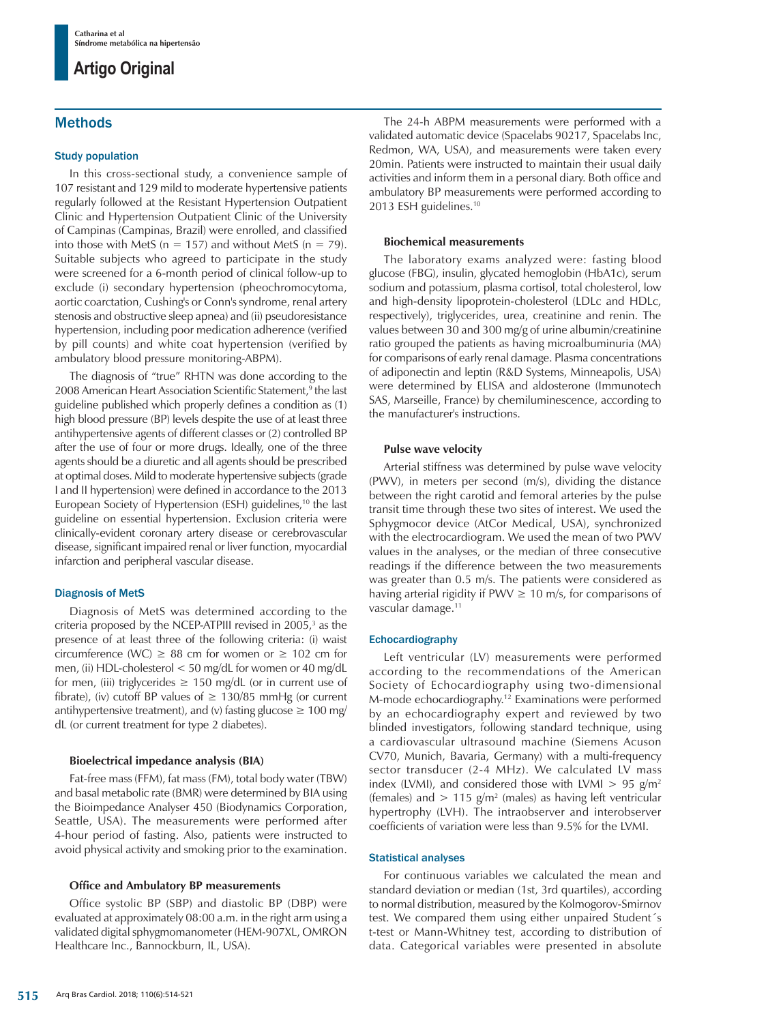## Methods

## Study population

In this cross-sectional study, a convenience sample of 107 resistant and 129 mild to moderate hypertensive patients regularly followed at the Resistant Hypertension Outpatient Clinic and Hypertension Outpatient Clinic of the University of Campinas (Campinas, Brazil) were enrolled, and classified into those with MetS ( $n = 157$ ) and without MetS ( $n = 79$ ). Suitable subjects who agreed to participate in the study were screened for a 6-month period of clinical follow-up to exclude (i) secondary hypertension (pheochromocytoma, aortic coarctation, Cushing's or Conn's syndrome, renal artery stenosis and obstructive sleep apnea) and (ii) pseudoresistance hypertension, including poor medication adherence (verified by pill counts) and white coat hypertension (verified by ambulatory blood pressure monitoring-ABPM).

The diagnosis of "true" RHTN was done according to the 2008 American Heart Association Scientific Statement,<sup>9</sup> the last guideline published which properly defines a condition as (1) high blood pressure (BP) levels despite the use of at least three antihypertensive agents of different classes or (2) controlled BP after the use of four or more drugs. Ideally, one of the three agents should be a diuretic and all agents should be prescribed at optimal doses. Mild to moderate hypertensive subjects (grade I and II hypertension) were defined in accordance to the 2013 European Society of Hypertension (ESH) guidelines,<sup>10</sup> the last guideline on essential hypertension. Exclusion criteria were clinically-evident coronary artery disease or cerebrovascular disease, significant impaired renal or liver function, myocardial infarction and peripheral vascular disease.

#### Diagnosis of MetS

Diagnosis of MetS was determined according to the criteria proposed by the NCEP-ATPIII revised in  $2005<sup>3</sup>$  as the presence of at least three of the following criteria: (i) waist circumference (WC)  $\geq$  88 cm for women or  $\geq$  102 cm for men, (ii) HDL-cholesterol < 50 mg/dL for women or 40 mg/dL for men, (iii) triglycerides  $\geq$  150 mg/dL (or in current use of fibrate), (iv) cutoff BP values of  $\geq 130/85$  mmHg (or current antihypertensive treatment), and (v) fasting glucose  $\geq 100$  mg/ dL (or current treatment for type 2 diabetes).

### **Bioelectrical impedance analysis (BIA)**

Fat-free mass (FFM), fat mass (FM), total body water (TBW) and basal metabolic rate (BMR) were determined by BIA using the Bioimpedance Analyser 450 (Biodynamics Corporation, Seattle, USA). The measurements were performed after 4-hour period of fasting. Also, patients were instructed to avoid physical activity and smoking prior to the examination.

## **Office and Ambulatory BP measurements**

Office systolic BP (SBP) and diastolic BP (DBP) were evaluated at approximately 08:00 a.m. in the right arm using a validated digital sphygmomanometer (HEM-907XL, OMRON Healthcare Inc., Bannockburn, IL, USA).

The 24-h ABPM measurements were performed with a validated automatic device (Spacelabs 90217, Spacelabs Inc, Redmon, WA, USA), and measurements were taken every 20min. Patients were instructed to maintain their usual daily activities and inform them in a personal diary. Both office and ambulatory BP measurements were performed according to 2013 ESH guidelines.10

### **Biochemical measurements**

The laboratory exams analyzed were: fasting blood glucose (FBG), insulin, glycated hemoglobin (HbA1c), serum sodium and potassium, plasma cortisol, total cholesterol, low and high-density lipoprotein-cholesterol (LDLc and HDLc, respectively), triglycerides, urea, creatinine and renin. The values between 30 and 300 mg/g of urine albumin/creatinine ratio grouped the patients as having microalbuminuria (MA) for comparisons of early renal damage. Plasma concentrations of adiponectin and leptin (R&D Systems, Minneapolis, USA) were determined by ELISA and aldosterone (Immunotech SAS, Marseille, France) by chemiluminescence, according to the manufacturer's instructions.

### **Pulse wave velocity**

Arterial stiffness was determined by pulse wave velocity (PWV), in meters per second (m/s), dividing the distance between the right carotid and femoral arteries by the pulse transit time through these two sites of interest. We used the Sphygmocor device (AtCor Medical, USA), synchronized with the electrocardiogram. We used the mean of two PWV values in the analyses, or the median of three consecutive readings if the difference between the two measurements was greater than 0.5 m/s. The patients were considered as having arterial rigidity if PWV  $\geq$  10 m/s, for comparisons of vascular damage.11

#### Echocardiography

Left ventricular (LV) measurements were performed according to the recommendations of the American Society of Echocardiography using two-dimensional M-mode echocardiography.12 Examinations were performed by an echocardiography expert and reviewed by two blinded investigators, following standard technique, using a cardiovascular ultrasound machine (Siemens Acuson CV70, Munich, Bavaria, Germany) with a multi-frequency sector transducer (2-4 MHz). We calculated LV mass index (LVMI), and considered those with LVMI  $> 95$  g/m<sup>2</sup> (females) and  $> 115$  g/m<sup>2</sup> (males) as having left ventricular hypertrophy (LVH). The intraobserver and interobserver coefficients of variation were less than 9.5% for the LVMI.

#### Statistical analyses

For continuous variables we calculated the mean and standard deviation or median (1st, 3rd quartiles), according to normal distribution, measured by the Kolmogorov-Smirnov test. We compared them using either unpaired Student´s t-test or Mann-Whitney test, according to distribution of data. Categorical variables were presented in absolute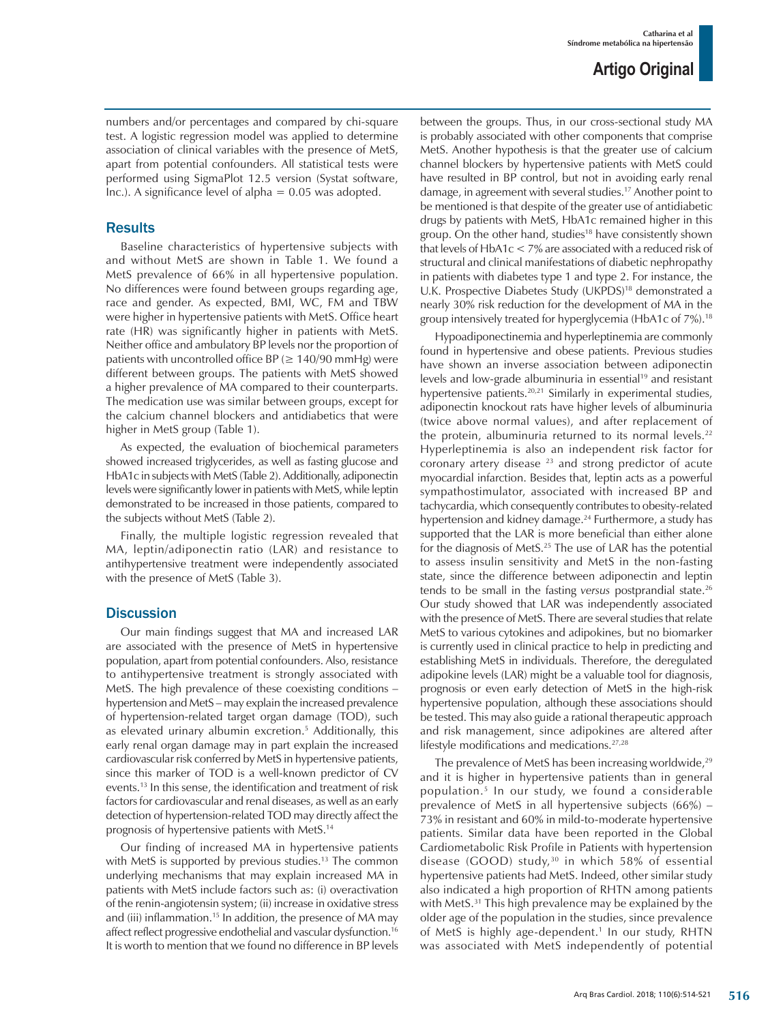numbers and/or percentages and compared by chi-square test. A logistic regression model was applied to determine association of clinical variables with the presence of MetS, apart from potential confounders. All statistical tests were performed using SigmaPlot 12.5 version (Systat software, Inc.). A significance level of alpha  $= 0.05$  was adopted.

## **Results**

Baseline characteristics of hypertensive subjects with and without MetS are shown in Table 1. We found a MetS prevalence of 66% in all hypertensive population. No differences were found between groups regarding age, race and gender. As expected, BMI, WC, FM and TBW were higher in hypertensive patients with MetS. Office heart rate (HR) was significantly higher in patients with MetS. Neither office and ambulatory BP levels nor the proportion of patients with uncontrolled office BP ( $\geq$  140/90 mmHg) were different between groups. The patients with MetS showed a higher prevalence of MA compared to their counterparts. The medication use was similar between groups, except for the calcium channel blockers and antidiabetics that were higher in MetS group (Table 1).

As expected, the evaluation of biochemical parameters showed increased triglycerides, as well as fasting glucose and HbA1c in subjects with MetS (Table 2). Additionally, adiponectin levels were significantly lower in patients with MetS, while leptin demonstrated to be increased in those patients, compared to the subjects without MetS (Table 2).

Finally, the multiple logistic regression revealed that MA, leptin/adiponectin ratio (LAR) and resistance to antihypertensive treatment were independently associated with the presence of MetS (Table 3).

## **Discussion**

Our main findings suggest that MA and increased LAR are associated with the presence of MetS in hypertensive population, apart from potential confounders. Also, resistance to antihypertensive treatment is strongly associated with MetS. The high prevalence of these coexisting conditions – hypertension and MetS – may explain the increased prevalence of hypertension-related target organ damage (TOD), such as elevated urinary albumin excretion.5 Additionally, this early renal organ damage may in part explain the increased cardiovascular risk conferred by MetS in hypertensive patients, since this marker of TOD is a well-known predictor of CV events.13 In this sense, the identification and treatment of risk factors for cardiovascular and renal diseases, as well as an early detection of hypertension-related TOD may directly affect the prognosis of hypertensive patients with MetS.14

Our finding of increased MA in hypertensive patients with MetS is supported by previous studies.<sup>13</sup> The common underlying mechanisms that may explain increased MA in patients with MetS include factors such as: (i) overactivation of the renin-angiotensin system; (ii) increase in oxidative stress and (iii) inflammation.<sup>15</sup> In addition, the presence of MA may affect reflect progressive endothelial and vascular dysfunction.<sup>16</sup> It is worth to mention that we found no difference in BP levels between the groups. Thus, in our cross-sectional study MA is probably associated with other components that comprise MetS. Another hypothesis is that the greater use of calcium channel blockers by hypertensive patients with MetS could have resulted in BP control, but not in avoiding early renal damage, in agreement with several studies.17 Another point to be mentioned is that despite of the greater use of antidiabetic drugs by patients with MetS, HbA1c remained higher in this group. On the other hand, studies<sup>18</sup> have consistently shown that levels of HbA1c < 7% are associated with a reduced risk of structural and clinical manifestations of diabetic nephropathy in patients with diabetes type 1 and type 2. For instance, the U.K. Prospective Diabetes Study (UKPDS)<sup>18</sup> demonstrated a nearly 30% risk reduction for the development of MA in the group intensively treated for hyperglycemia (HbA1c of 7%).18

Hypoadiponectinemia and hyperleptinemia are commonly found in hypertensive and obese patients. Previous studies have shown an inverse association between adiponectin levels and low-grade albuminuria in essential<sup>19</sup> and resistant hypertensive patients.<sup>20,21</sup> Similarly in experimental studies, adiponectin knockout rats have higher levels of albuminuria (twice above normal values), and after replacement of the protein, albuminuria returned to its normal levels.<sup>22</sup> Hyperleptinemia is also an independent risk factor for coronary artery disease 23 and strong predictor of acute myocardial infarction. Besides that, leptin acts as a powerful sympathostimulator, associated with increased BP and tachycardia, which consequently contributes to obesity-related hypertension and kidney damage.<sup>24</sup> Furthermore, a study has supported that the LAR is more beneficial than either alone for the diagnosis of MetS.<sup>25</sup> The use of LAR has the potential to assess insulin sensitivity and MetS in the non-fasting state, since the difference between adiponectin and leptin tends to be small in the fasting *versus* postprandial state.26 Our study showed that LAR was independently associated with the presence of MetS. There are several studies that relate MetS to various cytokines and adipokines, but no biomarker is currently used in clinical practice to help in predicting and establishing MetS in individuals. Therefore, the deregulated adipokine levels (LAR) might be a valuable tool for diagnosis, prognosis or even early detection of MetS in the high-risk hypertensive population, although these associations should be tested. This may also guide a rational therapeutic approach and risk management, since adipokines are altered after lifestyle modifications and medications.27,28

The prevalence of MetS has been increasing worldwide,<sup>29</sup> and it is higher in hypertensive patients than in general population.5 In our study, we found a considerable prevalence of MetS in all hypertensive subjects (66%) – 73% in resistant and 60% in mild-to-moderate hypertensive patients. Similar data have been reported in the Global Cardiometabolic Risk Profile in Patients with hypertension disease (GOOD) study, $30$  in which 58% of essential hypertensive patients had MetS. Indeed, other similar study also indicated a high proportion of RHTN among patients with MetS.<sup>31</sup> This high prevalence may be explained by the older age of the population in the studies, since prevalence of MetS is highly age-dependent.<sup>1</sup> In our study, RHTN was associated with MetS independently of potential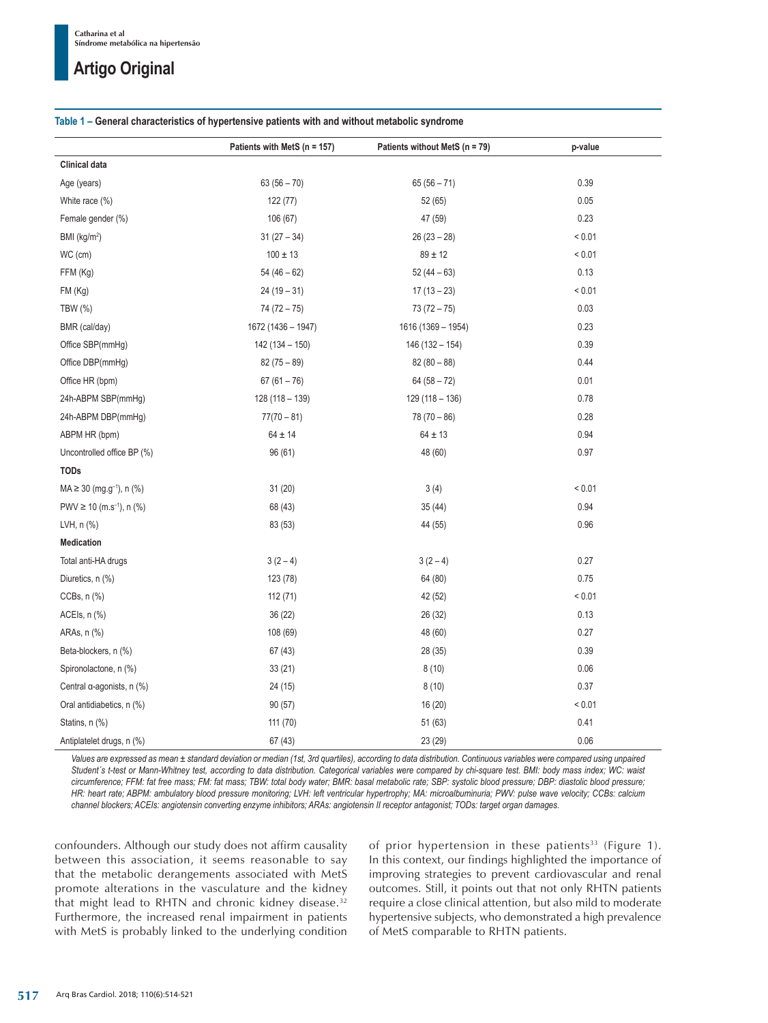### **Table 1 – General characteristics of hypertensive patients with and without metabolic syndrome**

|                                           | Patients with MetS (n = 157) | Patients without MetS (n = 79) | p-value     |
|-------------------------------------------|------------------------------|--------------------------------|-------------|
| <b>Clinical data</b>                      |                              |                                |             |
| Age (years)                               | $63(56 - 70)$                | $65(56 - 71)$                  | 0.39        |
| White race (%)                            | 122 (77)                     | 52 (65)                        | 0.05        |
| Female gender (%)                         | 106 (67)                     | 47 (59)                        | 0.23        |
| BMI (kg/m <sup>2</sup> )                  | $31(27-34)$                  | $26(23-28)$                    | ${}< 0.01$  |
| WC (cm)                                   | $100 \pm 13$                 | $89 \pm 12$                    | ${}_{0.01}$ |
| FFM (Kg)                                  | $54(46-62)$                  | $52(44-63)$                    | 0.13        |
| FM (Kg)                                   | $24(19-31)$                  | $17(13 - 23)$                  | ${}< 0.01$  |
| TBW (%)                                   | $74(72 - 75)$                | $73(72 - 75)$                  | 0.03        |
| BMR (cal/day)                             | 1672 (1436 - 1947)           | 1616 (1369 - 1954)             | 0.23        |
| Office SBP(mmHg)                          | $142(134 - 150)$             | $146(132 - 154)$               | 0.39        |
| Office DBP(mmHg)                          | $82(75 - 89)$                | $82(80-88)$                    | 0.44        |
| Office HR (bpm)                           | $67(61 - 76)$                | $64(58 - 72)$                  | 0.01        |
| 24h-ABPM SBP(mmHg)                        | $128(118-139)$               | $129(118 - 136)$               | 0.78        |
| 24h-ABPM DBP(mmHg)                        | $77(70 - 81)$                | $78(70-86)$                    | 0.28        |
| ABPM HR (bpm)                             | $64 \pm 14$                  | $64 \pm 13$                    | 0.94        |
| Uncontrolled office BP (%)                | 96(61)                       | 48 (60)                        | 0.97        |
| <b>TODs</b>                               |                              |                                |             |
| $MA \ge 30$ (mg.g <sup>-1</sup> ), n (%)  | 31(20)                       | 3(4)                           | < 0.01      |
| PWV $\geq$ 10 (m.s <sup>-1</sup> ), n (%) | 68 (43)                      | 35(44)                         | 0.94        |
| LVH, n (%)                                | 83 (53)                      | 44 (55)                        | 0.96        |
| <b>Medication</b>                         |                              |                                |             |
| Total anti-HA drugs                       | $3(2-4)$                     | $3(2-4)$                       | 0.27        |
| Diuretics, n (%)                          | 123 (78)                     | 64 (80)                        | 0.75        |
| CCBs, n (%)                               | 112(71)                      | 42 (52)                        | ${}_{0.01}$ |
| ACEIs, n (%)                              | 36(22)                       | 26 (32)                        | 0.13        |
| ARAs, n (%)                               | 108 (69)                     | 48 (60)                        | 0.27        |
| Beta-blockers, n (%)                      | 67(43)                       | 28 (35)                        | 0.39        |
| Spironolactone, n (%)                     | 33(21)                       | 8(10)                          | 0.06        |
| Central a-agonists, n (%)                 | 24 (15)                      | 8(10)                          | 0.37        |
| Oral antidiabetics, n (%)                 | 90(57)                       | 16(20)                         | < 0.01      |
| Statins, n (%)                            | 111 (70)                     | 51(63)                         | 0.41        |
| Antiplatelet drugs, n (%)                 | 67 (43)                      | 23 (29)                        | 0.06        |

*Values are expressed as mean ± standard deviation or median (1st, 3rd quartiles), according to data distribution. Continuous variables were compared using unpaired Student´s t-test or Mann-Whitney test, according to data distribution. Categorical variables were compared by chi-square test. BMI: body mass index; WC: waist circumference; FFM: fat free mass; FM: fat mass; TBW: total body water; BMR: basal metabolic rate; SBP: systolic blood pressure; DBP: diastolic blood pressure; HR: heart rate; ABPM: ambulatory blood pressure monitoring; LVH: left ventricular hypertrophy; MA: microalbuminuria; PWV: pulse wave velocity; CCBs: calcium channel blockers; ACEIs: angiotensin converting enzyme inhibitors; ARAs: angiotensin II receptor antagonist; TODs: target organ damages.*

confounders. Although our study does not affirm causality between this association, it seems reasonable to say that the metabolic derangements associated with MetS promote alterations in the vasculature and the kidney that might lead to RHTN and chronic kidney disease.32 Furthermore, the increased renal impairment in patients with MetS is probably linked to the underlying condition of prior hypertension in these patients<sup>33</sup> (Figure 1). In this context, our findings highlighted the importance of improving strategies to prevent cardiovascular and renal outcomes. Still, it points out that not only RHTN patients require a close clinical attention, but also mild to moderate hypertensive subjects, who demonstrated a high prevalence of MetS comparable to RHTN patients.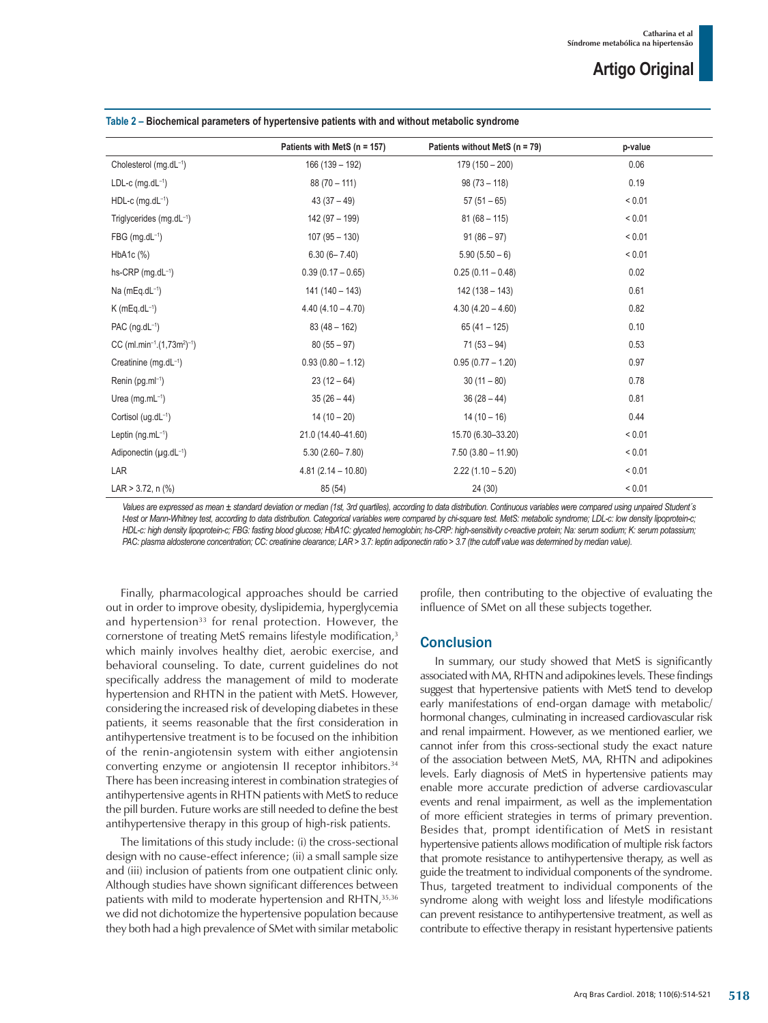|                                                                 | Patients with MetS ( $n = 157$ ) | Patients without MetS (n = 79) | p-value    |
|-----------------------------------------------------------------|----------------------------------|--------------------------------|------------|
| Cholesterol (mg.dL-1)                                           | $166(139 - 192)$                 | $179(150 - 200)$               | 0.06       |
| $LDL-c$ (mg.d $L^{-1}$ )                                        | $88(70 - 111)$                   | $98(73 - 118)$                 | 0.19       |
| $HDL-c$ (mg.d $L^{-1}$ )                                        | $43(37-49)$                      | $57(51-65)$                    | < 0.01     |
| Triglycerides (mg.dL-1)                                         | 142 (97 - 199)                   | $81(68 - 115)$                 | ${}< 0.01$ |
| $FBG$ (mg.dL $^{-1}$ )                                          | $107(95 - 130)$                  | $91(86-97)$                    | ${}< 0.01$ |
| $HbA1c$ $%$                                                     | $6.30(6 - 7.40)$                 | $5.90(5.50-6)$                 | < 0.01     |
| hs-CRP (mg.dL-1)                                                | $0.39(0.17 - 0.65)$              | $0.25(0.11 - 0.48)$            | 0.02       |
| Na ( $mEq.dL^{-1}$ )                                            | $141(140 - 143)$                 | $142(138 - 143)$               | 0.61       |
| $K$ (mEq.dL $^{-1}$ )                                           | $4.40(4.10 - 4.70)$              | $4.30(4.20 - 4.60)$            | 0.82       |
| PAC $(nq.dL^{-1})$                                              | $83(48 - 162)$                   | $65(41 - 125)$                 | 0.10       |
| CC (ml.min <sup>-1</sup> .(1,73m <sup>2</sup> ) <sup>-1</sup> ) | $80(55-97)$                      | $71(53 - 94)$                  | 0.53       |
| Creatinine (mg.dL-1)                                            | $0.93(0.80 - 1.12)$              | $0.95(0.77 - 1.20)$            | 0.97       |
| Renin (pg.ml-1)                                                 | $23(12-64)$                      | $30(11 - 80)$                  | 0.78       |
| Urea (mg.mL $-1$ )                                              | $35(26-44)$                      | $36(28-44)$                    | 0.81       |
| Cortisol (ug.dL-1)                                              | $14(10-20)$                      | $14(10-16)$                    | 0.44       |
| Leptin $(ng.mL^{-1})$                                           | 21.0 (14.40-41.60)               | 15.70 (6.30-33.20)             | ${}< 0.01$ |
| Adiponectin (µg.dL-1)                                           | $5.30(2.60 - 7.80)$              | $7.50(3.80 - 11.90)$           | < 0.01     |
| LAR                                                             | $4.81(2.14 - 10.80)$             | $2.22(1.10 - 5.20)$            | ${}< 0.01$ |
| LAR $> 3.72$ , n $(\%)$                                         | 85 (54)                          | 24 (30)                        | ${}< 0.01$ |

**Table 2 – Biochemical parameters of hypertensive patients with and without metabolic syndrome**

Values are expressed as mean ± standard deviation or median (1st, 3rd quartiles), according to data distribution. Continuous variables were compared using unpaired Student's *t-test or Mann-Whitney test, according to data distribution. Categorical variables were compared by chi-square test. MetS: metabolic syndrome; LDL-c: low density lipoprotein-c; HDL-c: high density lipoprotein-c; FBG: fasting blood glucose; HbA1C: glycated hemoglobin; hs-CRP: high-sensitivity c-reactive protein; Na: serum sodium; K: serum potassium; PAC: plasma aldosterone concentration; CC: creatinine clearance; LAR > 3.7: leptin adiponectin ratio > 3.7 (the cutoff value was determined by median value).*

Finally, pharmacological approaches should be carried out in order to improve obesity, dyslipidemia, hyperglycemia and hypertension<sup>33</sup> for renal protection. However, the cornerstone of treating MetS remains lifestyle modification,<sup>3</sup> which mainly involves healthy diet, aerobic exercise, and behavioral counseling. To date, current guidelines do not specifically address the management of mild to moderate hypertension and RHTN in the patient with MetS. However, considering the increased risk of developing diabetes in these patients, it seems reasonable that the first consideration in antihypertensive treatment is to be focused on the inhibition of the renin-angiotensin system with either angiotensin converting enzyme or angiotensin II receptor inhibitors.34 There has been increasing interest in combination strategies of antihypertensive agents in RHTN patients with MetS to reduce the pill burden. Future works are still needed to define the best antihypertensive therapy in this group of high-risk patients.

The limitations of this study include: (i) the cross-sectional design with no cause-effect inference; (ii) a small sample size and (iii) inclusion of patients from one outpatient clinic only. Although studies have shown significant differences between patients with mild to moderate hypertension and RHTN,<sup>35,36</sup> we did not dichotomize the hypertensive population because they both had a high prevalence of SMet with similar metabolic profile, then contributing to the objective of evaluating the influence of SMet on all these subjects together.

## **Conclusion**

In summary, our study showed that MetS is significantly associated with MA, RHTN and adipokines levels. These findings suggest that hypertensive patients with MetS tend to develop early manifestations of end-organ damage with metabolic/ hormonal changes, culminating in increased cardiovascular risk and renal impairment. However, as we mentioned earlier, we cannot infer from this cross-sectional study the exact nature of the association between MetS, MA, RHTN and adipokines levels. Early diagnosis of MetS in hypertensive patients may enable more accurate prediction of adverse cardiovascular events and renal impairment, as well as the implementation of more efficient strategies in terms of primary prevention. Besides that, prompt identification of MetS in resistant hypertensive patients allows modification of multiple risk factors that promote resistance to antihypertensive therapy, as well as guide the treatment to individual components of the syndrome. Thus, targeted treatment to individual components of the syndrome along with weight loss and lifestyle modifications can prevent resistance to antihypertensive treatment, as well as contribute to effective therapy in resistant hypertensive patients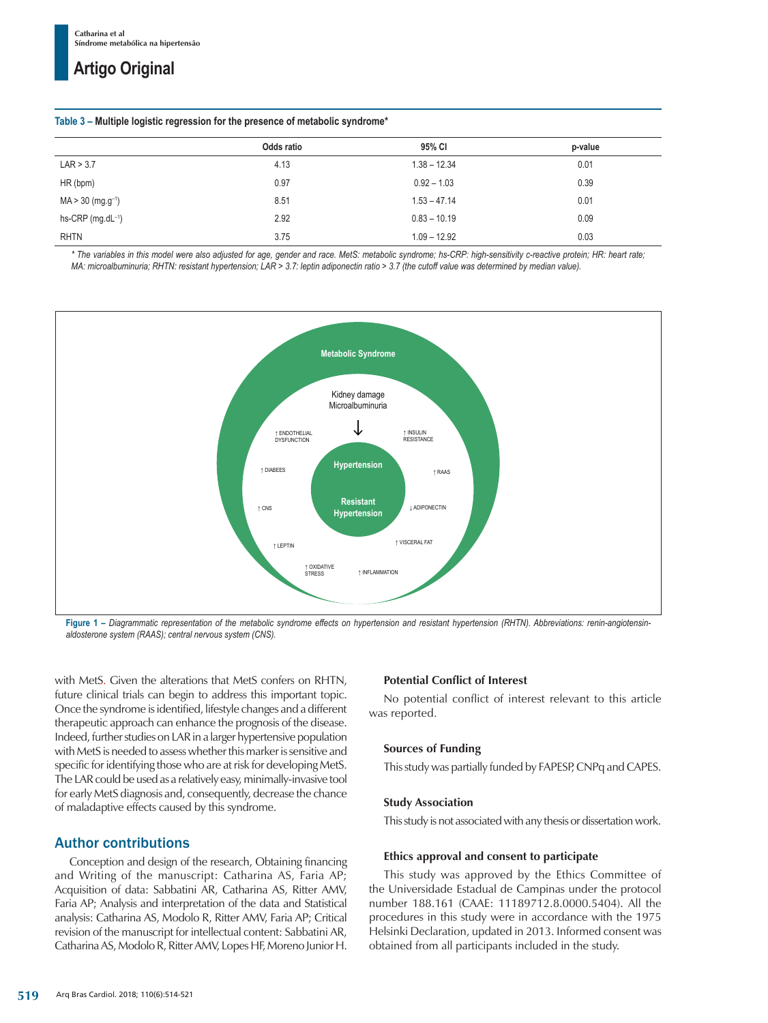#### **Table 3 – Multiple logistic regression for the presence of metabolic syndrome\***

|                                 | Odds ratio | 95% CI         | p-value |  |
|---------------------------------|------------|----------------|---------|--|
| LAR > 3.7                       | 4.13       | $1.38 - 12.34$ | 0.01    |  |
| HR (bpm)                        | 0.97       | $0.92 - 1.03$  | 0.39    |  |
| $MA > 30$ (mg.g <sup>-1</sup> ) | 8.51       | $1.53 - 47.14$ | 0.01    |  |
| hs-CRP $(mg.dL^{-1})$           | 2.92       | $0.83 - 10.19$ | 0.09    |  |
| <b>RHTN</b>                     | 3.75       | $1.09 - 12.92$ | 0.03    |  |

*\* The variables in this model were also adjusted for age, gender and race. MetS: metabolic syndrome; hs-CRP: high-sensitivity c-reactive protein; HR: heart rate; MA: microalbuminuria; RHTN: resistant hypertension; LAR > 3.7: leptin adiponectin ratio > 3.7 (the cutoff value was determined by median value).*



Figure 1 - Diagrammatic representation of the metabolic syndrome effects on hypertension and resistant hypertension (RHTN). Abbreviations: renin-angiotensin*aldosterone system (RAAS); central nervous system (CNS).*

with MetS. Given the alterations that MetS confers on RHTN, future clinical trials can begin to address this important topic. Once the syndrome is identified, lifestyle changes and a different therapeutic approach can enhance the prognosis of the disease. Indeed, further studies on LAR in a larger hypertensive population with MetS is needed to assess whether this marker is sensitive and specific for identifying those who are at risk for developing MetS. The LAR could be used as a relatively easy, minimally-invasive tool for early MetS diagnosis and, consequently, decrease the chance of maladaptive effects caused by this syndrome.

## Author contributions

Conception and design of the research, Obtaining financing and Writing of the manuscript: Catharina AS, Faria AP; Acquisition of data: Sabbatini AR, Catharina AS, Ritter AMV, Faria AP; Analysis and interpretation of the data and Statistical analysis: Catharina AS, Modolo R, Ritter AMV, Faria AP; Critical revision of the manuscript for intellectual content: Sabbatini AR, CatharinaAS, Modolo R, Ritter AMV, Lopes HF, Moreno Junior H.

## **Potential Conflict of Interest**

No potential conflict of interest relevant to this article was reported.

## **Sources of Funding**

This study was partially funded by FAPESP, CNPq and CAPES.

## **Study Association**

This study is not associated with any thesis or dissertation work.

## **Ethics approval and consent to participate**

This study was approved by the Ethics Committee of the Universidade Estadual de Campinas under the protocol number 188.161 (CAAE: 11189712.8.0000.5404). All the procedures in this study were in accordance with the 1975 Helsinki Declaration, updated in 2013. Informed consent was obtained from all participants included in the study.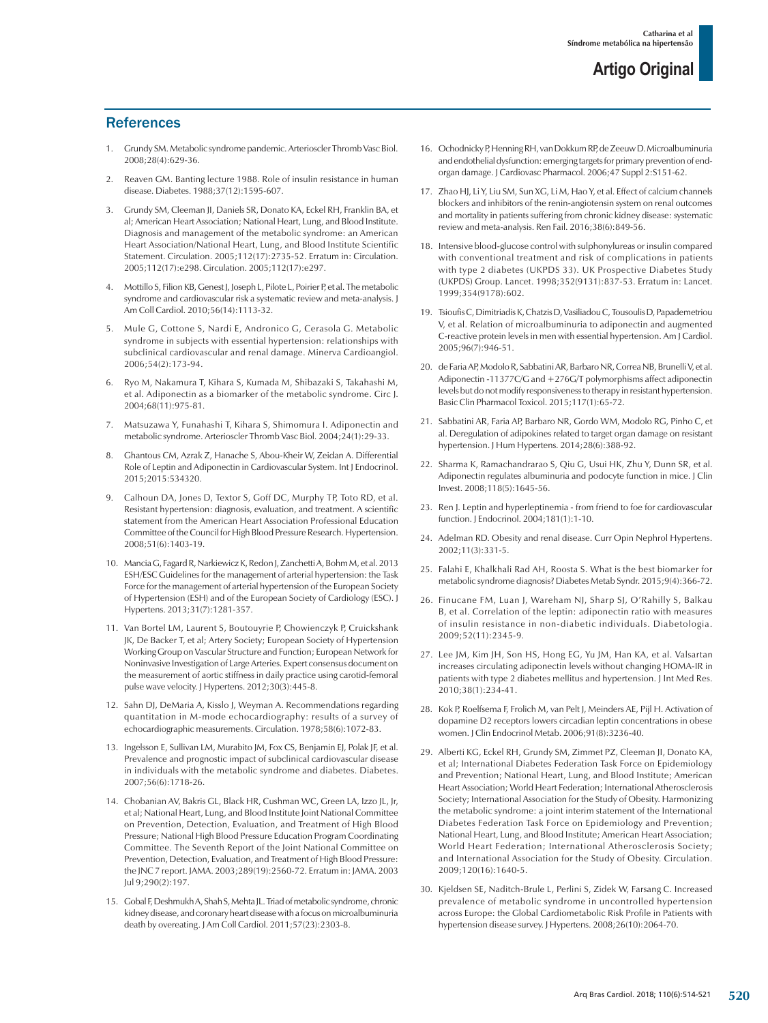## **References**

- Grundy SM. Metabolic syndrome pandemic. Arterioscler Thromb Vasc Biol. 2008;28(4):629-36.
- 2. Reaven GM. Banting lecture 1988. Role of insulin resistance in human disease. Diabetes. 1988;37(12):1595-607.
- 3. Grundy SM, Cleeman JI, Daniels SR, Donato KA, Eckel RH, Franklin BA, et al; American Heart Association; National Heart, Lung, and Blood Institute. Diagnosis and management of the metabolic syndrome: an American Heart Association/National Heart, Lung, and Blood Institute Scientific Statement. Circulation. 2005;112(17):2735-52. Erratum in: Circulation. 2005;112(17):e298. Circulation. 2005;112(17):e297.
- 4. Mottillo S, Filion KB, Genest J, Joseph L, Pilote L, Poirier P, et al. The metabolic syndrome and cardiovascular risk a systematic review and meta-analysis. J Am Coll Cardiol. 2010;56(14):1113-32.
- 5. Mule G, Cottone S, Nardi E, Andronico G, Cerasola G. Metabolic syndrome in subjects with essential hypertension: relationships with subclinical cardiovascular and renal damage. Minerva Cardioangiol. 2006;54(2):173-94.
- 6. Ryo M, Nakamura T, Kihara S, Kumada M, Shibazaki S, Takahashi M, et al. Adiponectin as a biomarker of the metabolic syndrome. Circ J. 2004;68(11):975-81.
- 7. Matsuzawa Y, Funahashi T, Kihara S, Shimomura I. Adiponectin and metabolic syndrome. Arterioscler Thromb Vasc Biol. 2004;24(1):29-33.
- 8. Ghantous CM, Azrak Z, Hanache S, Abou-Kheir W, Zeidan A. Differential Role of Leptin and Adiponectin in Cardiovascular System. Int J Endocrinol. 2015;2015:534320.
- 9. Calhoun DA, Jones D, Textor S, Goff DC, Murphy TP, Toto RD, et al. Resistant hypertension: diagnosis, evaluation, and treatment. A scientific statement from the American Heart Association Professional Education Committee of the Council for High Blood Pressure Research. Hypertension. 2008;51(6):1403-19.
- 10. Mancia G, Fagard R, Narkiewicz K, Redon J, Zanchetti A, Bohm M, et al. 2013 ESH/ESC Guidelines for the management of arterial hypertension: the Task Force for the management of arterial hypertension of the European Society of Hypertension (ESH) and of the European Society of Cardiology (ESC). J Hypertens. 2013;31(7):1281-357.
- 11. Van Bortel LM, Laurent S, Boutouyrie P, Chowienczyk P, Cruickshank JK, De Backer T, et al; Artery Society; European Society of Hypertension Working Group on Vascular Structure and Function; European Network for Noninvasive Investigation of Large Arteries. Expert consensus document on the measurement of aortic stiffness in daily practice using carotid-femoral pulse wave velocity. J Hypertens. 2012;30(3):445-8.
- 12. Sahn DJ, DeMaria A, Kisslo J, Weyman A. Recommendations regarding quantitation in M-mode echocardiography: results of a survey of echocardiographic measurements. Circulation. 1978;58(6):1072-83.
- 13. Ingelsson E, Sullivan LM, Murabito JM, Fox CS, Benjamin EJ, Polak JF, et al. Prevalence and prognostic impact of subclinical cardiovascular disease in individuals with the metabolic syndrome and diabetes. Diabetes. 2007;56(6):1718-26.
- 14. Chobanian AV, Bakris GL, Black HR, Cushman WC, Green LA, Izzo JL, Jr, et al; National Heart, Lung, and Blood Institute Joint National Committee on Prevention, Detection, Evaluation, and Treatment of High Blood Pressure; National High Blood Pressure Education Program Coordinating Committee. The Seventh Report of the Joint National Committee on Prevention, Detection, Evaluation, and Treatment of High Blood Pressure: the JNC 7 report. JAMA. 2003;289(19):2560-72. Erratum in: JAMA. 2003 Jul 9;290(2):197.
- 15. Gobal F, Deshmukh A, Shah S, Mehta JL. Triad of metabolic syndrome, chronic kidney disease, and coronary heart disease with a focus on microalbuminuria death by overeating. J Am Coll Cardiol. 2011;57(23):2303-8.
- 16. Ochodnicky P, Henning RH, van Dokkum RP, de Zeeuw D. Microalbuminuria and endothelial dysfunction: emerging targets for primary prevention of endorgan damage. J Cardiovasc Pharmacol. 2006;47 Suppl 2:S151-62.
- 17. Zhao HJ, Li Y, Liu SM, Sun XG, Li M, Hao Y, et al. Effect of calcium channels blockers and inhibitors of the renin-angiotensin system on renal outcomes and mortality in patients suffering from chronic kidney disease: systematic review and meta-analysis. Ren Fail. 2016;38(6):849-56.
- 18. Intensive blood-glucose control with sulphonylureas or insulin compared with conventional treatment and risk of complications in patients with type 2 diabetes (UKPDS 33). UK Prospective Diabetes Study (UKPDS) Group. Lancet. 1998;352(9131):837-53. Erratum in: Lancet. 1999;354(9178):602.
- 19. Tsioufis C, Dimitriadis K, Chatzis D, Vasiliadou C, Tousoulis D, Papademetriou V, et al. Relation of microalbuminuria to adiponectin and augmented C-reactive protein levels in men with essential hypertension. Am J Cardiol. 2005;96(7):946-51.
- 20. de Faria AP, Modolo R, Sabbatini AR, Barbaro NR, Correa NB, Brunelli V, et al. Adiponectin -11377C/G and +276G/T polymorphisms affect adiponectin levels but do not modify responsiveness to therapy in resistant hypertension. Basic Clin Pharmacol Toxicol. 2015;117(1):65-72.
- 21. Sabbatini AR, Faria AP, Barbaro NR, Gordo WM, Modolo RG, Pinho C, et al. Deregulation of adipokines related to target organ damage on resistant hypertension. J Hum Hypertens. 2014;28(6):388-92.
- 22. Sharma K, Ramachandrarao S, Qiu G, Usui HK, Zhu Y, Dunn SR, et al. Adiponectin regulates albuminuria and podocyte function in mice. J Clin Invest. 2008;118(5):1645-56.
- 23. Ren J. Leptin and hyperleptinemia from friend to foe for cardiovascular function. J Endocrinol. 2004;181(1):1-10.
- 24. Adelman RD. Obesity and renal disease. Curr Opin Nephrol Hypertens.  $2002 \cdot 11(3) \cdot 331 - 5$
- 25. Falahi E, Khalkhali Rad AH, Roosta S. What is the best biomarker for metabolic syndrome diagnosis? Diabetes Metab Syndr. 2015;9(4):366-72.
- 26. Finucane FM, Luan J, Wareham NJ, Sharp SJ, O'Rahilly S, Balkau B, et al. Correlation of the leptin: adiponectin ratio with measures of insulin resistance in non-diabetic individuals. Diabetologia. 2009;52(11):2345-9.
- 27. Lee JM, Kim JH, Son HS, Hong EG, Yu JM, Han KA, et al. Valsartan increases circulating adiponectin levels without changing HOMA-IR in patients with type 2 diabetes mellitus and hypertension. J Int Med Res. 2010;38(1):234-41.
- 28. Kok P, Roelfsema F, Frolich M, van Pelt J, Meinders AE, Pijl H. Activation of dopamine D2 receptors lowers circadian leptin concentrations in obese women. J Clin Endocrinol Metab. 2006;91(8):3236-40.
- 29. Alberti KG, Eckel RH, Grundy SM, Zimmet PZ, Cleeman JI, Donato KA, et al; International Diabetes Federation Task Force on Epidemiology and Prevention; National Heart, Lung, and Blood Institute; American Heart Association; World Heart Federation; International Atherosclerosis Society; International Association for the Study of Obesity. Harmonizing the metabolic syndrome: a joint interim statement of the International Diabetes Federation Task Force on Epidemiology and Prevention; National Heart, Lung, and Blood Institute; American Heart Association; World Heart Federation; International Atherosclerosis Society; and International Association for the Study of Obesity. Circulation. 2009;120(16):1640-5.
- 30. Kjeldsen SE, Naditch-Brule L, Perlini S, Zidek W, Farsang C. Increased prevalence of metabolic syndrome in uncontrolled hypertension across Europe: the Global Cardiometabolic Risk Profile in Patients with hypertension disease survey. J Hypertens. 2008;26(10):2064-70.